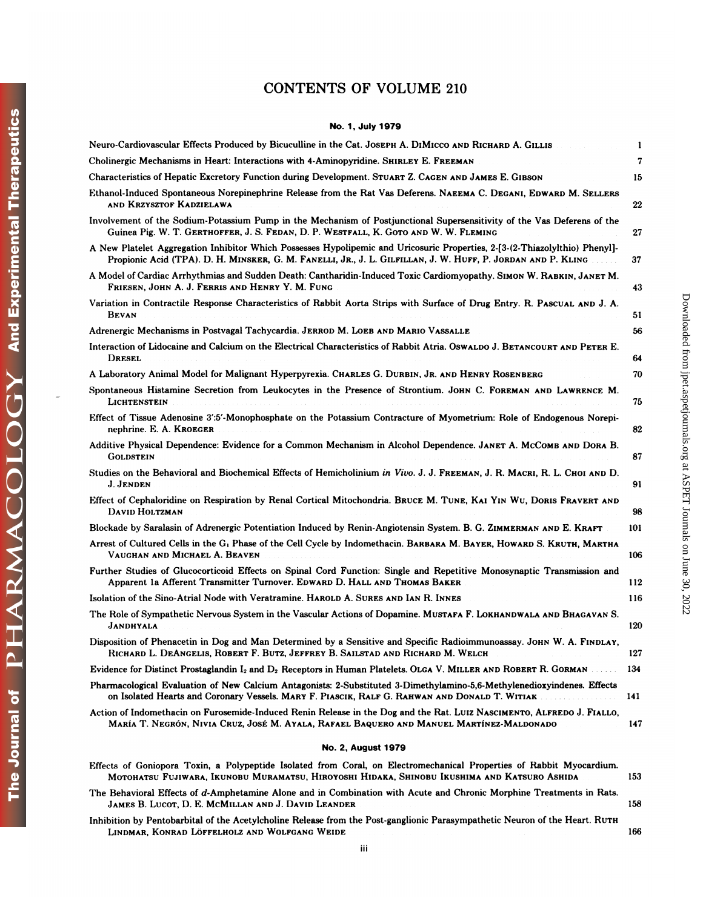# CONTENTS OF VOLUME 210 No. **<sup>I</sup>** , **July 1979**

| No. 1, July 1979                                                                                                                                                                                                                            |     |
|---------------------------------------------------------------------------------------------------------------------------------------------------------------------------------------------------------------------------------------------|-----|
| Neuro-Cardiovascular Effects Produced by Bicuculline in the Cat. JOSEPH A. DIMICCO AND RICHARD A. GILLIS                                                                                                                                    | 1   |
| Cholinergic Mechanisms in Heart: Interactions with 4-Aminopyridine. SHIRLEY E. FREEMAN                                                                                                                                                      | 7   |
| Characteristics of Hepatic Excretory Function during Development. STUART Z. CAGEN AND JAMES E. GIBSON                                                                                                                                       | 15  |
| Ethanol-Induced Spontaneous Norepinephrine Release from the Rat Vas Deferens. NAEEMA C. DEGANI, EDWARD M. SELLERS<br>AND KRZYSZTOF KADZIELAWA                                                                                               | 22  |
| Involvement of the Sodium-Potassium Pump in the Mechanism of Postjunctional Supersensitivity of the Vas Deferens of the<br>Guinea Pig. W. T. GERTHOFFER, J. S. FEDAN, D. P. WESTFALL, K. GOTO AND W. W. FLEMING                             | 27  |
| A New Platelet Aggregation Inhibitor Which Possesses Hypolipemic and Uricosuric Properties, 2-[3-(2-Thiazolylthio) Phenyl]-<br>Propionic Acid (TPA). D. H. MINSKER, G. M. FANELLI, JR., J. L. GILFILLAN, J. W. HUFF, P. JORDAN AND P. KLING | 37  |
| A Model of Cardiac Arrhythmias and Sudden Death: Cantharidin-Induced Toxic Cardiomyopathy. SIMON W. RABKIN, JANET M.<br>FRIESEN, JOHN A. J. FERRIS AND HENRY Y. M. FUNG                                                                     | 43  |
| Variation in Contractile Response Characteristics of Rabbit Aorta Strips with Surface of Drug Entry. R. PASCUAL AND J. A.<br><b>BEVAN</b>                                                                                                   | 51  |
| Adrenergic Mechanisms in Postvagal Tachycardia. JERROD M. LOEB AND MARIO VASSALLE                                                                                                                                                           | 56  |
| Interaction of Lidocaine and Calcium on the Electrical Characteristics of Rabbit Atria. OSWALDO J. BETANCOURT AND PETER E.<br>DRESEL                                                                                                        | 64  |
| A Laboratory Animal Model for Malignant Hyperpyrexia. CHARLES G. DURBIN, JR. AND HENRY ROSENBERG                                                                                                                                            | 70  |
| Spontaneous Histamine Secretion from Leukocytes in the Presence of Strontium. JOHN C. FOREMAN AND LAWRENCE M.<br>LICHTENSTEIN                                                                                                               | 75  |
| Effect of Tissue Adenosine 3':5'-Monophosphate on the Potassium Contracture of Myometrium: Role of Endogenous Norepi-<br>nephrine. E. A. KROEGER                                                                                            | 82  |
| Additive Physical Dependence: Evidence for a Common Mechanism in Alcohol Dependence. JANET A. MCCOMB AND DORA B.<br>Goldstein                                                                                                               | 87  |
| Studies on the Behavioral and Biochemical Effects of Hemicholinium in Vivo. J. J. FREEMAN, J. R. MACRI, R. L. CHOI AND D.<br>J. Jenden                                                                                                      | 91  |
| Effect of Cephaloridine on Respiration by Renal Cortical Mitochondria. BRUCE M. TUNE, KAI YIN WU, DORIS FRAVERT AND<br>DAVID HOLTZMAN                                                                                                       | 98  |
| Blockade by Saralasin of Adrenergic Potentiation Induced by Renin-Angiotensin System. B. G. ZIMMERMAN AND E. KRAFT                                                                                                                          | 101 |
| Arrest of Cultured Cells in the G <sub>1</sub> Phase of the Cell Cycle by Indomethacin. BARBARA M. BAYER, HOWARD S. KRUTH, MARTHA<br>VAUGHAN AND MICHAEL A. BEAVEN                                                                          | 106 |
| Further Studies of Glucocorticoid Effects on Spinal Cord Function: Single and Repetitive Monosynaptic Transmission and<br>Apparent 1a Afferent Transmitter Turnover. EDWARD D. HALL AND THOMAS BAKER                                        | 112 |
| Isolation of the Sino-Atrial Node with Veratramine. HAROLD A. SURES AND IAN R. INNES                                                                                                                                                        | 116 |
| The Role of Sympathetic Nervous System in the Vascular Actions of Dopamine. MUSTAFA F. LOKHANDWALA AND BHAGAVAN S.<br>JANDHYALA                                                                                                             | 120 |
| Disposition of Phenacetin in Dog and Man Determined by a Sensitive and Specific Radioimmunoassay. JOHN W. A. FINDLAY,<br>RICHARD L. DEANGELIS, ROBERT F. BUTZ, JEFFREY B. SAILSTAD AND RICHARD M. WELCH                                     | 127 |
| Evidence for Distinct Prostaglandin $I_2$ and $D_2$ Receptors in Human Platelets. OLGA V. MILLER AND ROBERT R. GORMAN                                                                                                                       | 134 |
| Pharmacological Evaluation of New Calcium Antagonists: 2-Substituted 3-Dimethylamino-5,6-Methylenedioxyindenes. Effects<br>on Isolated Hearts and Coronary Vessels. MARY F. PIASCIK, RALF G. RAHWAN AND DONALD T. WITIAK                    | 141 |
| Action of Indomethacin on Furosemide-Induced Renin Release in the Dog and the Rat. LUIZ NASCIMENTO, ALFREDO J. FIALLO,<br>María T. Negrón, Nivia Cruz, José M. Ayala, Rafael Baquero and Manuel Martínez-Maldonado                          | 147 |
| <b>No. 2, August 1979</b>                                                                                                                                                                                                                   |     |
| Effects of Goniopora Toxin, a Polypeptide Isolated from Coral, on Electromechanical Properties of Rabbit Myocardium.<br>Motohatsu Fujiwara, Ikunobu Muramatsu, Hiroyoshi Hidaka, Shinobu Ikushima and Katsuro Ashida                        | 153 |
| The Behavioral Effects of d-Amphetamine Alone and in Combination with Acute and Chronic Morphine Treatments in Rats.<br>JAMES B. LUCOT, D. E. MCMILLAN AND J. DAVID LEANDER                                                                 | 158 |
| Inhibition by Pentobarbital of the Acetylcholine Release from the Post-ganglionic Parasympathetic Neuron of the Heart. RUTH<br>LINDMAR, KONRAD LÖFFELHOLZ AND WOLFGANG WEIDE                                                                | 166 |
| iii                                                                                                                                                                                                                                         |     |

| <b>No. 2, August 1979</b>                                                                                                                                                                                            |     |
|----------------------------------------------------------------------------------------------------------------------------------------------------------------------------------------------------------------------|-----|
| Effects of Goniopora Toxin, a Polypeptide Isolated from Coral, on Electromechanical Properties of Rabbit Myocardium.<br>MOTOHATSU FUJIWARA, IKUNOBU MURAMATSU, HIROYOSHI HIDAKA, SHINOBU IKUSHIMA AND KATSURO ASHIDA | 153 |
| The Behavioral Effects of d-Amphetamine Alone and in Combination with Acute and Chronic Morphine Treatments in Rats.<br>JAMES B. LUCOT, D. E. MCMILLAN AND J. DAVID LEANDER                                          | 158 |
| Inhibition by Pentobarbital of the Acetylcholine Release from the Post-ganglionic Parasympathetic Neuron of the Heart. RUTH<br>Lindmar, Konrad Löffelholz and Wolfgang Weide                                         | 166 |
|                                                                                                                                                                                                                      |     |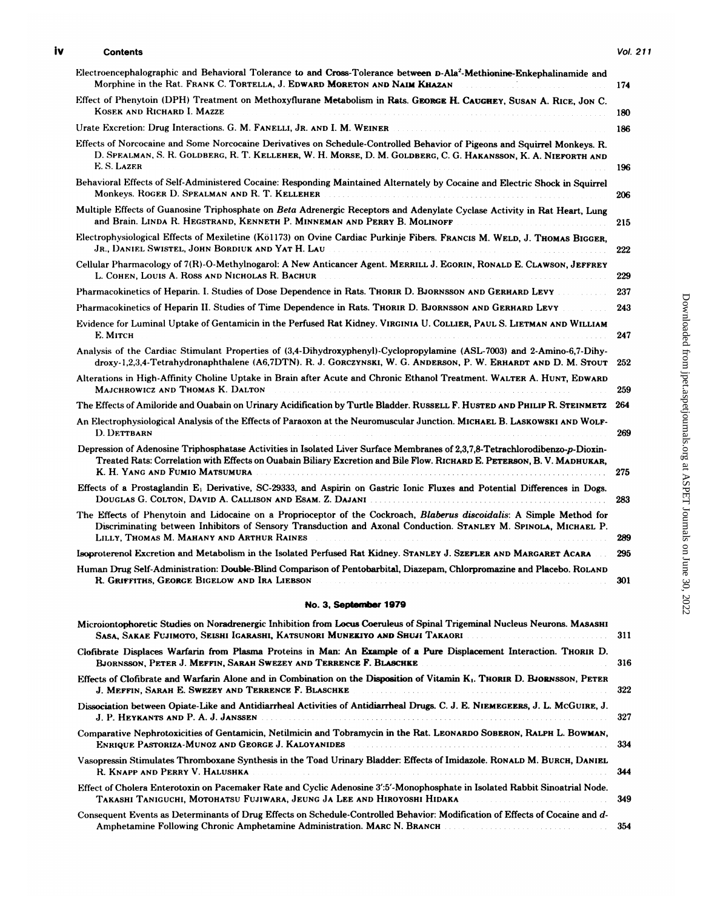## iv **Contents** Vol. 211

| <b>Contents</b>                                                                                                                                                                                                                                                                                                                                                            | Vol. 211 |
|----------------------------------------------------------------------------------------------------------------------------------------------------------------------------------------------------------------------------------------------------------------------------------------------------------------------------------------------------------------------------|----------|
| Electroencephalographic and Behavioral Tolerance to and Cross-Tolerance between D-Ala <sup>2</sup> -Methionine-Enkephalinamide and<br>Morphine in the Rat. FRANK C. TORTELLA, J. EDWARD MORETON AND NAIM KHAZAN                                                                                                                                                            | 174      |
| Effect of Phenytoin (DPH) Treatment on Methoxyflurane Metabolism in Rats. GEORGE H. CAUGHEY, SUSAN A. RICE, JON C.<br>KOSEK AND RICHARD I. MAZZE                                                                                                                                                                                                                           | 180      |
| Urate Excretion: Drug Interactions. G. M. FANELLI, JR. AND I. M. WEINER                                                                                                                                                                                                                                                                                                    | 186      |
| Effects of Norcocaine and Some Norcocaine Derivatives on Schedule-Controlled Behavior of Pigeons and Squirrel Monkeys. R.<br>D. SPEALMAN, S. R. GOLDBERG, R. T. KELLEHER, W. H. MORSE, D. M. GOLDBERG, C. G. HAKANSSON, K. A. NIEFORTH AND<br>E. S. LAZER                                                                                                                  | 196      |
| Behavioral Effects of Self-Administered Cocaine: Responding Maintained Alternately by Cocaine and Electric Shock in Squirrel<br>Monkeys. ROGER D. SPEALMAN AND R. T. KELLEHER <b>Experience All Annual Property</b>                                                                                                                                                        | 206      |
| Multiple Effects of Guanosine Triphosphate on Beta Adrenergic Receptors and Adenylate Cyclase Activity in Rat Heart, Lung<br>and Brain. LINDA R. HEGSTRAND, KENNETH P. MINNEMAN AND PERRY B. MOLINOFF                                                                                                                                                                      | 215      |
| Electrophysiological Effects of Mexiletine (Kö1173) on Ovine Cardiac Purkinje Fibers. FRANCIS M. WELD, J. THOMAS BIGGER.<br>Jr., Daniel Swistel, John Bordiuk and Yat H. Lau <b>Acceleration and Science and Science and Science and Science</b>                                                                                                                           | 222      |
| Cellular Pharmacology of 7(R)-O-Methylnogarol: A New Anticancer Agent. MERRILL J. EGORIN, RONALD E. CLAWSON, JEFFREY<br>L. COHEN, LOUIS A. ROSS AND NICHOLAS R. BACHUR                                                                                                                                                                                                     | 229      |
| Pharmacokinetics of Heparin. I. Studies of Dose Dependence in Rats. THORIR D. BJORNSSON AND GERHARD LEVY                                                                                                                                                                                                                                                                   | 237      |
| Pharmacokinetics of Heparin II. Studies of Time Dependence in Rats. THORIR D. BJORNSSON AND GERHARD LEVY                                                                                                                                                                                                                                                                   | 243      |
| Evidence for Luminal Uptake of Gentamicin in the Perfused Rat Kidney. VIRGINIA U. COLLIER, PAUL S. LIETMAN AND WILLIAM<br>Е. Мітсн                                                                                                                                                                                                                                         | 247      |
| Analysis of the Cardiac Stimulant Properties of (3.4-Dihydroxyphenyl)-Cyclopropylamine (ASL-7003) and 2-Amino-6.7-Dihy-<br>droxy-1,2,3,4-Tetrahydronaphthalene (A6,7DTN). R. J. GORCZYNSKI, W. G. ANDERSON, P. W. ERHARDT AND D. M. STOUT                                                                                                                                  | 252      |
| Alterations in High-Affinity Choline Uptake in Brain after Acute and Chronic Ethanol Treatment. WALTER A. HUNT, EDWARD<br>MAJCHROWICZ AND THOMAS K. DALTON                                                                                                                                                                                                                 | 259      |
| The Effects of Amiloride and Ouabain on Urinary Acidification by Turtle Bladder. Russell F. Husted and Phillp R. Steinmetz                                                                                                                                                                                                                                                 | 264      |
| An Electrophysiological Analysis of the Effects of Paraoxon at the Neuromuscular Junction. MICHAEL B. LASKOWSKI AND WOLF-<br><b>D. DETTBARN</b>                                                                                                                                                                                                                            | 269      |
| Depression of Adenosine Triphosphatase Activities in Isolated Liver Surface Membranes of 2.3.7.8-Tetrachlorodibenzo-p-Dioxin-<br>Treated Rats: Correlation with Effects on Ouabain Biliary Excretion and Bile Flow. RICHARD E. PETERSON, B. V. MADHUKAR,<br>K. H. YANG AND FUMIO MATSUMURA WELLOW CONTROL CONTROL CONTROL CONTROL CONTROLLED AND THE CONTROL CONTROL CONTR | 275      |
| Effects of a Prostaglandin E <sub>1</sub> Derivative, SC-29333, and Aspirin on Gastric Ionic Fluxes and Potential Differences in Dogs.                                                                                                                                                                                                                                     | 283      |
| The Effects of Phenytoin and Lidocaine on a Proprioceptor of the Cockroach, Blaberus discoidalis: A Simple Method for<br>Discriminating between Inhibitors of Sensory Transduction and Axonal Conduction. STANLEY M. SPINOLA, MICHAEL P.<br>LILLY, THOMAS M. MAHANY AND ARTHUR RAINES                                                                                      | 289      |
| Isoproterenol Excretion and Metabolism in the Isolated Perfused Rat Kidney. STANLEY J. SZEFLER AND MARGARET ACARA                                                                                                                                                                                                                                                          | 295      |
| Human Drug Self-Administration: Double-Blind Comparison of Pentobarbital, Diazepam, Chlorpromazine and Placebo. ROLAND<br>R. GRIFFITHS, GEORGE BIGELOW AND IRA LIEBSON<br>and the state of the state of<br>and and and analysis and analysis                                                                                                                               | 301      |
| No. 3, September 1979                                                                                                                                                                                                                                                                                                                                                      |          |
|                                                                                                                                                                                                                                                                                                                                                                            |          |

| No. 3. September 1979                                                                                                                                                                                    |
|----------------------------------------------------------------------------------------------------------------------------------------------------------------------------------------------------------|
| Microiontophoretic Studies on Noradrenergic Inhibition from Locus Coeruleus of Spinal Trigeminal Nucleus Neurons. MASASHI<br>Sasa, Sakae Fujimoto, Seishi Igarashi, Katsunori Munekiyo and Shuji Takaori |
| Clofibrate Displaces Warfarin from Plasma Proteins in Man: An Example of a Pure Displacement Interaction. THORIR D.<br>BJORNSSON, PETER J. MEFFIN, SARAH SWEZEY AND TERRENCE F. BLASCHKE                 |
| Effects of Clofibrate and Warfarin Alone and in Combination on the Disposition of Vitamin K <sub>1</sub> . THORIR D. BJORNSSON, PETER<br>J. MEFFIN, SARAH E. SWEZEY AND TERRENCE F. BLASCHKE             |
| Dissociation between Opiate-Like and Antidiarrheal Activities of Antidiarrheal Drugs. C. J. E. NIEMEGEERS, J. L. McGUIRE, J.<br>J. P. HEYKANTS AND P. A. J. JANSSEN                                      |
| Comparative Nephrotoxicities of Gentamicin, Netilmicin and Tobramycin in the Rat. LEONARDO SOBERON, RALPH L. BOWMAN,<br>ENRIQUE PASTORIZA-MUNOZ AND GEORGE J. KALOYANIDES                                |
| Vasopressin Stimulates Thromboxane Synthesis in the Toad Urinary Bladder: Effects of Imidazole. RONALD M. BURCH, DANIEL<br>R. KNAPP AND PERRY V. HALUSHKA                                                |
| Effect of Cholera Enterotoxin on Pacemaker Rate and Cyclic Adenosine 3':5'-Monophosphate in Isolated Rabbit Sinoatrial Node.                                                                             |
| Consequent Events as Determinants of Drug Effects on Schedule-Controlled Behavior: Modification of Effects of Cocaine and d-<br>Amphetamine Following Chronic Amphetamine Administration. MARC N. BRANCH |